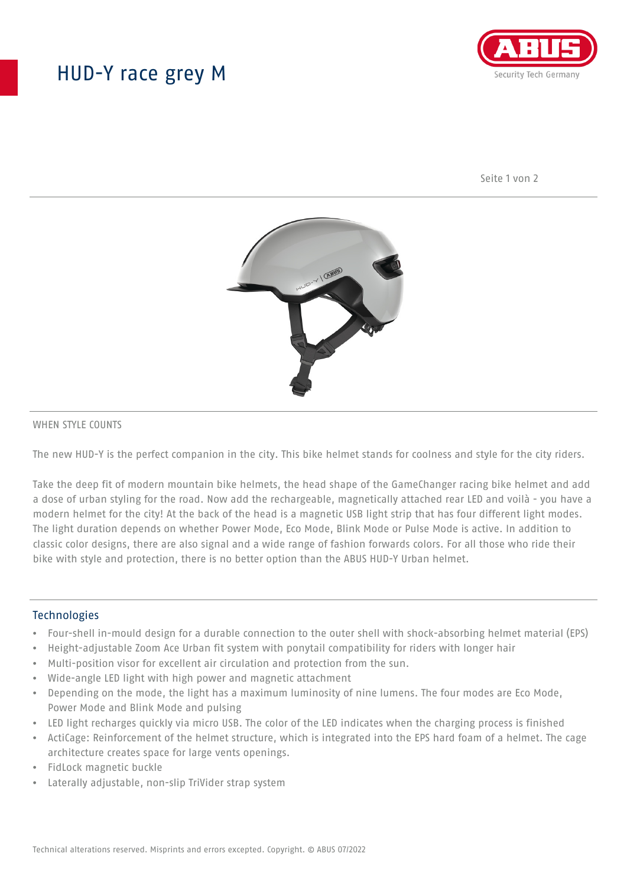## HUD-Y race grey M



Seite 1 von 2



#### WHEN STYLE COUNTS

The new HUD-Y is the perfect companion in the city. This bike helmet stands for coolness and style for the city riders.

Take the deep fit of modern mountain bike helmets, the head shape of the GameChanger racing bike helmet and add a dose of urban styling for the road. Now add the rechargeable, magnetically attached rear LED and voilà - you have a modern helmet for the city! At the back of the head is a magnetic USB light strip that has four different light modes. The light duration depends on whether Power Mode, Eco Mode, Blink Mode or Pulse Mode is active. In addition to classic color designs, there are also signal and a wide range of fashion forwards colors. For all those who ride their bike with style and protection, there is no better option than the ABUS HUD-Y Urban helmet.

#### **Technologies**

- Four-shell in-mould design for a durable connection to the outer shell with shock-absorbing helmet material (EPS)
- Height-adjustable Zoom Ace Urban fit system with ponytail compatibility for riders with longer hair
- Multi-position visor for excellent air circulation and protection from the sun.
- Wide-angle LED light with high power and magnetic attachment
- Depending on the mode, the light has a maximum luminosity of nine lumens. The four modes are Eco Mode, Power Mode and Blink Mode and pulsing
- LED light recharges quickly via micro USB. The color of the LED indicates when the charging process is finished
- ActiCage: Reinforcement of the helmet structure, which is integrated into the EPS hard foam of a helmet. The cage architecture creates space for large vents openings.
- FidLock magnetic buckle
- Laterally adjustable, non-slip TriVider strap system